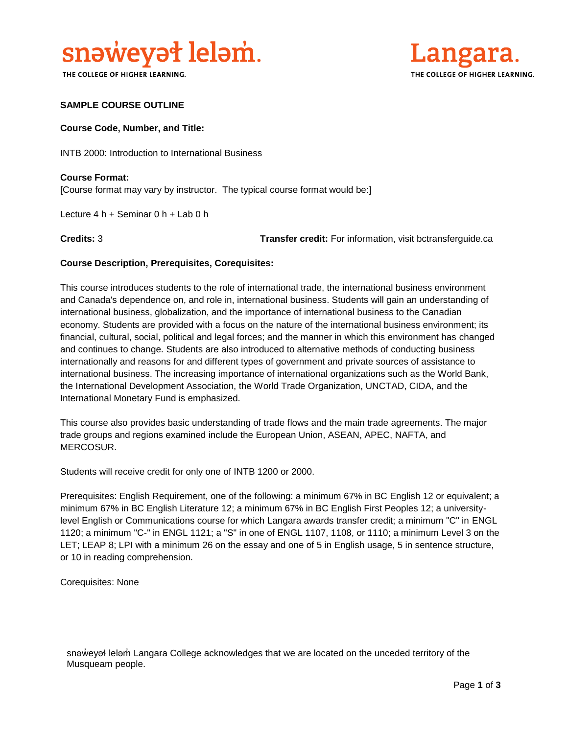

THE COLLEGE OF HIGHER LEARNING.



# **SAMPLE COURSE OUTLINE**

#### **Course Code, Number, and Title:**

INTB 2000: Introduction to International Business

**Course Format:** [Course format may vary by instructor. The typical course format would be:]

Lecture 4 h + Seminar 0 h + Lab 0 h

**Credits:** 3 **Transfer credit:** For information, visit bctransferguide.ca

# **Course Description, Prerequisites, Corequisites:**

This course introduces students to the role of international trade, the international business environment and Canada's dependence on, and role in, international business. Students will gain an understanding of international business, globalization, and the importance of international business to the Canadian economy. Students are provided with a focus on the nature of the international business environment; its financial, cultural, social, political and legal forces; and the manner in which this environment has changed and continues to change. Students are also introduced to alternative methods of conducting business internationally and reasons for and different types of government and private sources of assistance to international business. The increasing importance of international organizations such as the World Bank, the International Development Association, the World Trade Organization, UNCTAD, CIDA, and the International Monetary Fund is emphasized.

This course also provides basic understanding of trade flows and the main trade agreements. The major trade groups and regions examined include the European Union, ASEAN, APEC, NAFTA, and MERCOSUR.

Students will receive credit for only one of INTB 1200 or 2000.

Prerequisites: English Requirement, one of the following: a minimum 67% in BC English 12 or equivalent; a minimum 67% in BC English Literature 12; a minimum 67% in BC English First Peoples 12; a universitylevel English or Communications course for which Langara awards transfer credit; a minimum "C" in ENGL 1120; a minimum "C-" in ENGL 1121; a "S" in one of ENGL 1107, 1108, or 1110; a minimum Level 3 on the LET; LEAP 8; LPI with a minimum 26 on the essay and one of 5 in English usage, 5 in sentence structure, or 10 in reading comprehension.

Corequisites: None

snəweyał leləm Langara College acknowledges that we are located on the unceded territory of the Musqueam people.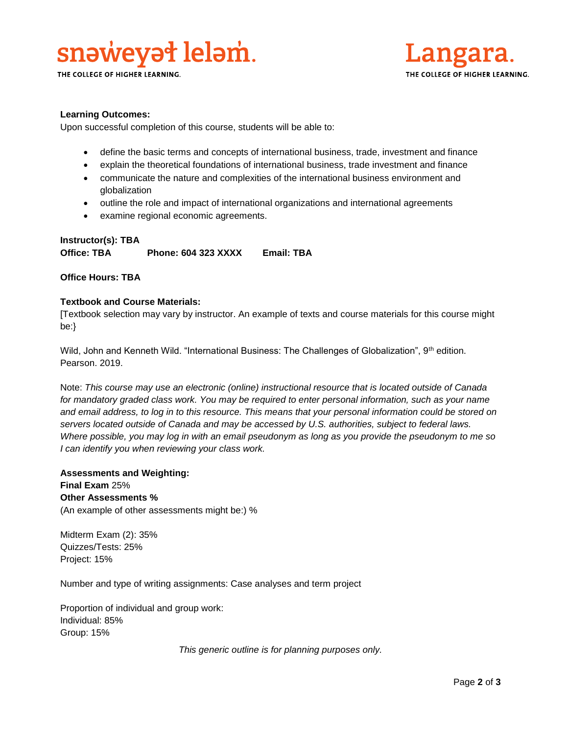

THE COLLEGE OF HIGHER LEARNING.



# **Learning Outcomes:**

Upon successful completion of this course, students will be able to:

- define the basic terms and concepts of international business, trade, investment and finance
- explain the theoretical foundations of international business, trade investment and finance
- communicate the nature and complexities of the international business environment and globalization
- outline the role and impact of international organizations and international agreements
- examine regional economic agreements.

# **Instructor(s): TBA Office: TBA Phone: 604 323 XXXX Email: TBA**

# **Office Hours: TBA**

# **Textbook and Course Materials:**

[Textbook selection may vary by instructor. An example of texts and course materials for this course might be:}

Wild, John and Kenneth Wild. "International Business: The Challenges of Globalization", 9th edition. Pearson. 2019.

Note: *This course may use an electronic (online) instructional resource that is located outside of Canada*  for mandatory graded class work. You may be required to enter personal information, such as your name *and email address, to log in to this resource. This means that your personal information could be stored on servers located outside of Canada and may be accessed by U.S. authorities, subject to federal laws. Where possible, you may log in with an email pseudonym as long as you provide the pseudonym to me so I can identify you when reviewing your class work.* 

**Assessments and Weighting: Final Exam** 25% **Other Assessments %** (An example of other assessments might be:) %

Midterm Exam (2): 35% Quizzes/Tests: 25% Project: 15%

Number and type of writing assignments: Case analyses and term project

Proportion of individual and group work: Individual: 85% Group: 15%

*This generic outline is for planning purposes only.*